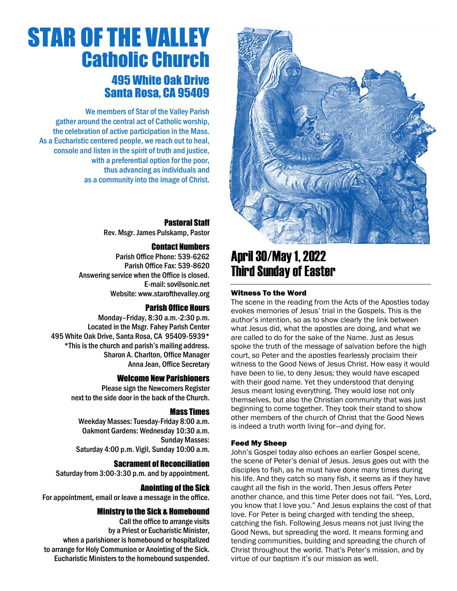

### April30/May 1, 2022 Third Sunday of Easter

#### Witness To the Word

The scene in the reading from the Acts of the Apostles today evokes memories of Jesus' trial in the Gospels. This is the author's intention, so as to show clearly the link between what Jesus did, what the apostles are doing, and what we are called to do for the sake of the Name. Just as Jesus spoke the truth of the message of salvation before the high court, so Peter and the apostles fearlessly proclaim their witness to the Good News of Jesus Christ. How easy it would have been to lie, to deny Jesus; they would have escaped with their good name. Yet they understood that denying Jesus meant losing everything. They would lose not only themselves, but also the Christian community that was just beginning to come together. They took their stand to show other members of the church of Christ that the Good News is indeed a truth worth living for—and dying for.

#### Feed My Sheep

John's Gospel today also echoes an earlier Gospel scene, the scene of Peter's denial of Jesus. Jesus goes out with the disciples to fish, as he must have done many times during his life. And they catch so many fish, it seems as if they have caught all the fish in the world. Then Jesus offers Peter another chance, and this time Peter does not fail. "Yes, Lord, you know that I love you." And Jesus explains the cost of that love. For Peter is being charged with tending the sheep, catching the fish. Following Jesus means not just living the Good News, but spreading the word. It means forming and tending communities, building and spreading the church of Christ throughout the world. That's Peter's mission, and by virtue of our baptism it's our mission as well.

# STAR OF THE VALLEY Catholic Church 495 White Oak Drive Santa Rosa, CA 95409

We members of Star of the Valley Parish gather around the central act of Catholic worship, the celebration of active participation in the Mass. As a Eucharistic centered people, we reach out to heal, console and listen in the spirit of truth and justice, with a preferential option for the poor, thus advancing as individuals and as a community into the image of Christ.

#### Pastoral Staff

Rev. Msgr. James Pulskamp, Pastor

#### Contact Numbers

Parish Office Phone: 539-6262 Parish Office Fax: 539-8620 Answering service when the Office is closed. E-mail: [sov@sonic.net](mailto:sov@sonic.net) Website[: www.starofthevalley.org](http://www.starofthevalley.org/)

#### Parish Office Hours

Monday–Friday, 8:30 a.m.-2:30 p.m. Located in the Msgr. Fahey Parish Center 495 White Oak Drive, Santa Rosa, CA 95409-5939\* \*This is the church and parish's mailing address. Sharon A. Charlton, Office Manager Anna Jean, Office Secretary

#### Welcome New Parishioners

Please sign the Newcomers Register next to the side door in the back of the Church.

#### Mass Times

Weekday Masses: Tuesday-Friday 8:00 a.m. Oakmont Gardens: Wednesday 10:30 a.m. Sunday Masses: Saturday 4:00 p.m. Vigil, Sunday 10:00 a.m.

#### Sacrament of Reconciliation

Saturday from 3:00-3:30 p.m. and by appointment.

#### Anointing of the Sick

For appointment, email or leave a message in the office.

#### Ministry to the Sick & Homebound

Call the office to arrange visits by a Priest or Eucharistic Minister, when a parishioner is homebound or hospitalized to arrange for Holy Communion or Anointing of the Sick. Eucharistic Ministers to the homebound suspended.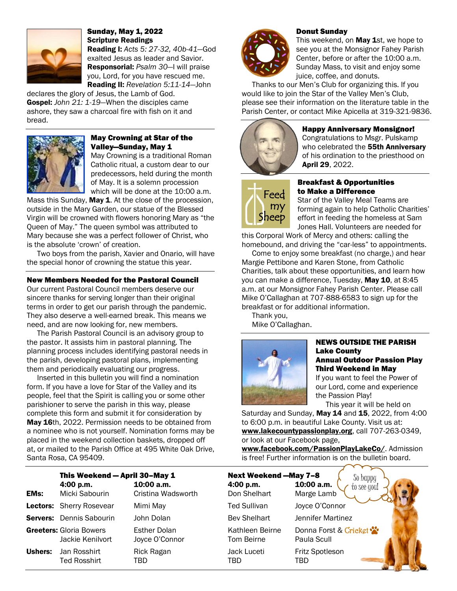

Sunday, May 1, 2022 Scripture Readings

Reading I: *Acts 5: 27-32, 40b-41*—God exalted Jesus as leader and Savior. Responsorial: *Psalm 30*—I will praise you, Lord, for you have rescued me. Reading II: *Revelation 5:11-14*—John

declares the glory of Jesus, the Lamb of God. Gospel: *John 21: 1-19*—When the disciples came ashore, they saw a charcoal fire with fish on it and bread.



#### May Crowning at Star of the Valley—Sunday, May 1

May Crowning is a traditional Roman Catholic ritual, a custom dear to our predecessors, held during the month of May. It is a solemn procession which will be done at the 10:00 a.m.

Mass this Sunday, May 1. At the close of the procession, outside in the Mary Garden, our statue of the Blessed Virgin will be crowned with flowers honoring Mary as "the Queen of May." The queen symbol was attributed to Mary because she was a perfect follower of Christ, who is the absolute 'crown' of creation.

Two boys from the parish, Xavier and Onario, will have the special honor of crowning the statue this year.

#### New Members Needed for the Pastoral Council

Our current Pastoral Council members deserve our sincere thanks for serving longer than their original terms in order to get our parish through the pandemic. They also deserve a well-earned break. This means we need, and are now looking for, new members.

The Parish Pastoral Council is an advisory group to the pastor. It assists him in pastoral planning. The planning process includes identifying pastoral needs in the parish, developing pastoral plans, implementing them and periodically evaluating our progress.

Inserted in this bulletin you will find a nomination form. If you have a love for Star of the Valley and its people, feel that the Spirit is calling you or some other parishioner to serve the parish in this way, please complete this form and submit it for consideration by May 16th, 2022. Permission needs to be obtained from a nominee who is not yourself. Nomination forms may be placed in the weekend collection baskets, dropped off at, or mailed to the Parish Office at 495 White Oak Drive, Santa Rosa, CA 95409.



#### Donut Sunday

This weekend, on May 1st, we hope to see you at the Monsignor Fahey Parish Center, before or after the 10:00 a.m. Sunday Mass, to visit and enjoy some juice, coffee, and donuts.

Thanks to our Men's Club for organizing this. If you would like to join the Star of the Valley Men's Club, please see their information on the literature table in the Parish Center, or contact Mike Apicella at 319-321-9836.



#### Happy Anniversary Monsignor!

Congratulations to Msgr. Pulskamp who celebrated the 55th Anniversary of his ordination to the priesthood on April 29, 2022.



#### Breakfast & Opportunities to Make a Difference

Star of the Valley Meal Teams are forming again to help Catholic Charities' effort in feeding the homeless at Sam Jones Hall. Volunteers are needed for

this Corporal Work of Mercy and others: calling the homebound, and driving the "car-less" to appointments.

Come to enjoy some breakfast (no charge,) and hear Margie Pettibone and Karen Stone, from Catholic Charities, talk about these opportunities, and learn how you can make a difference, Tuesday, May 10, at 8:45 a.m. at our Monsignor Fahey Parish Center. Please call Mike O'Callaghan at 707-888-6583 to sign up for the breakfast or for additional information.

Thank you, Mike O'Callaghan.



#### NEWS OUTSIDE THE PARISH Lake County Annual Outdoor Passion Play Third Weekend in May

If you want to feel the Power of our Lord, come and experience the Passion Play!

This year it will be held on Saturday and Sunday, May 14 and 15, 2022, from  $4:00$ to 6:00 p.m. in beautiful Lake County. Visit us at:

[www.lakecountypassionplay.org](http://www.lakecountypassionplay.org/), call 707-263-0349, or look at our Facebook page,

[www.facebook.com/PassionPlayLakeCo/](http://www.facebook.com/%20PassionPlayLakeCo/). Admission is free! Further information is on the bulletin board.

|                | This Weekend - April 30-May 1               |                                       | <b>Next Weekend -May 7-8</b><br>So bappy |                                         |
|----------------|---------------------------------------------|---------------------------------------|------------------------------------------|-----------------------------------------|
| <b>EMs:</b>    | 4:00 p.m.<br>Micki Sabourin                 | $10:00$ a.m.<br>Cristina Wadsworth    | 4:00 p.m.<br>Don Shelhart                | 10:00 a.m.<br>to see you!<br>Marge Lamb |
|                | Lectors: Sherry Rosevear                    | Mimi May                              | <b>Ted Sullivan</b>                      | Joyce O'Connor                          |
|                | Servers: Dennis Sabourin                    | John Dolan                            | <b>Bev Shelhart</b>                      | Jennifer Martinez                       |
|                | Greeters: Gloria Bowers<br>Jackie Kenilvort | <b>Esther Dolan</b><br>Joyce O'Connor | Kathleen Beirne<br>Tom Beirne            | Donna Forst & Cricket<br>Paula Scull    |
| <b>Ushers:</b> | Jan Rosshirt<br><b>Ted Rosshirt</b>         | Rick Ragan<br>TBD                     | Jack Luceti<br>TBD                       | Fritz Spotleson<br>TBD                  |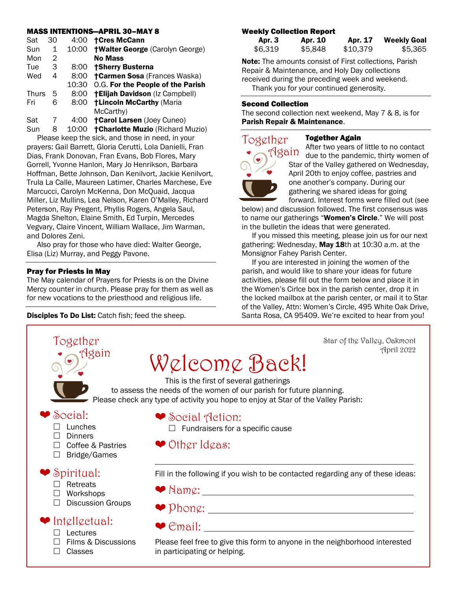#### MASS INTENTIONS—APRIL 30–MAY 8

| Sat   | 30 | 4:00  | <b>†Cres McCann</b>                     |
|-------|----|-------|-----------------------------------------|
| Sun   | 1  | 10:00 | <b>†Walter George (Carolyn George)</b>  |
| Mon   | 2  |       | <b>No Mass</b>                          |
| Tue   | 3  | 8:00  | †Sherry Busterna                        |
| Wed   | 4  | 8:00  | <b>†Carmen Sosa</b> (Frances Waska)     |
|       |    | 10:30 | O.G. For the People of the Parish       |
| Thurs | 5  | 8:00  | <b>†Elijah Davidson</b> (Iz Campbell)   |
| Fri   | 6  | 8:00  | <b>†Lincoln McCarthy (Maria</b>         |
|       |    |       | McCarthy)                               |
| Sat   | 7  | 4:00  | <b>†Carol Larsen (Joey Cuneo)</b>       |
| Sun   | 8  | 10:00 | <b>†Charlotte Muzio (Richard Muzio)</b> |

Please keep the sick, and those in need, in your prayers: Gail Barrett, Gloria Cerutti, Lola Danielli, Fran Dias, Frank Donovan, Fran Evans, Bob Flores, Mary Gorrell, Yvonne Hanlon, Mary Jo Henrikson, Barbara Hoffman, Bette Johnson, Dan Kenilvort, Jackie Kenilvort, Trula La Calle, Maureen Latimer, Charles Marchese, Eve Marcucci, Carolyn McKenna, Don McQuaid, Jacqua Miller, Liz Mullins, Lea Nelson, Karen O'Malley, Richard Peterson, Ray Pregent, Phyllis Rogers, Angela Saul, Magda Shelton, Elaine Smith, Ed Turpin, Mercedes Vegvary, Claire Vincent, William Wallace, Jim Warman, and Dolores Zeni.

Also pray for those who have died: Walter George, Elisa (Liz) Murray, and Peggy Pavone.

#### Pray for Priests in May

The May calendar of Prayers for Priests is on the Divine Mercy counter in church. Please pray for them as well as for new vocations to the priesthood and religious life.

Disciples To Do List: Catch fish; feed the sheep.

#### Weekly Collection Report

| Apr. 3  | Apr. 10 | Apr. 17  | <b>Weekly Goal</b> |
|---------|---------|----------|--------------------|
| \$6,319 | \$5,848 | \$10,379 | \$5,365            |

Note: The amounts consist of First collections, Parish Repair & Maintenance, and Holy Day collections received during the preceding week and weekend. Thank you for your continued generosity.

#### Second Collection

The second collection next weekend, May 7 & 8, is for Parish Repair & Maintenance.



#### Together Again

After two years of little to no contact due to the pandemic, thirty women of Star of the Valley gathered on Wednesday, April 20th to enjoy coffee, pastries and one another's company. During our gathering we shared ideas for going forward. Interest forms were filled out (see

below) and discussion followed. The first consensus was to name our gatherings "Women's Circle." We will post in the bulletin the ideas that were generated.

If you missed this meeting, please join us for our next gathering: Wednesday, May 18th at 10:30 a.m. at the Monsignor Fahey Parish Center.

If you are interested in joining the women of the parish, and would like to share your ideas for future activities, please fill out the form below and place it in the Women's Cirlce box in the parish center, drop it in the locked mailbox at the parish center, or mail it to Star of the Valley, Attn: Women's Circle, 495 White Oak Drive, Santa Rosa, CA 95409. We're excited to hear from you!